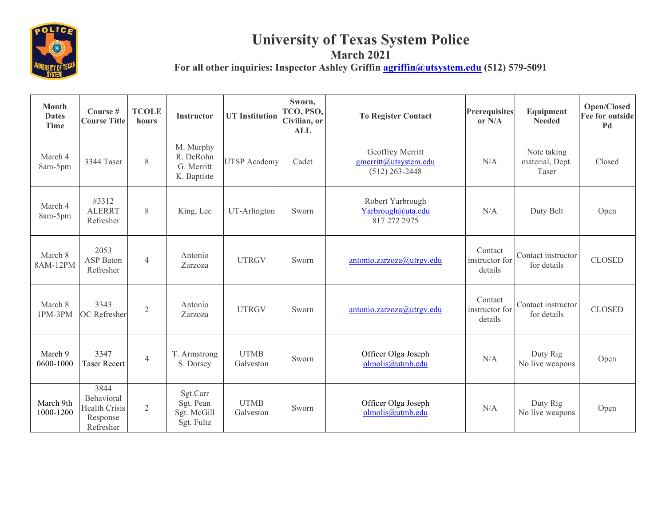

## **University of Texas System Police**

**March 2021** For all other inquiries: Inspector Ashley Griffin **agriffin** *aguitystem.edu* (512) 579-5091 Τ ┬ ┯ Т

| <b>Month</b><br><b>Dates</b><br><b>Time</b> | Course #<br><b>Course Title</b>                                     | <b>TCOLE</b><br>hours | <b>Instructor</b>                                   | <b>UT</b> Institution    | Sworn,<br>TCO, PSO,<br>Civilian, or<br><b>ALL</b> | <b>To Register Contact</b>                                    | <b>Prerequisites</b><br>or $N/A$     | Equipment<br><b>Needed</b>              | Open/Closed<br>Fee for outside<br>Pd |
|---------------------------------------------|---------------------------------------------------------------------|-----------------------|-----------------------------------------------------|--------------------------|---------------------------------------------------|---------------------------------------------------------------|--------------------------------------|-----------------------------------------|--------------------------------------|
| March 4<br>8am-5pm                          | 3344 Taser                                                          | 8                     | M. Murphy<br>R. DeRohn<br>G. Merritt<br>K. Baptiste | <b>UTSP</b> Academy      | Cadet                                             | Geoffrey Merritt<br>gmerritt@utsystem.edu<br>$(512)$ 263-2448 | N/A                                  | Note taking<br>material, Dept.<br>Taser | Closed                               |
| March 4<br>8am-5pm                          | #3312<br><b>ALERRT</b><br>Refresher                                 | 8                     | King, Lee                                           | UT-Arlington             | Sworn                                             | Robert Yarbrough<br>Yarbrough@uta.edu<br>817 272 2975         | N/A                                  | Duty Belt                               | Open                                 |
| March 8<br>8AM-12PM                         | 2053<br><b>ASP</b> Baton<br>Refresher                               | $\overline{4}$        | Antonio<br>Zarzoza                                  | <b>UTRGV</b>             | Sworn                                             | antonio.zarzoza@utrgv.edu                                     | Contact<br>instructor for<br>details | Contact instructor<br>for details       | <b>CLOSED</b>                        |
| March 8<br>1PM-3PM                          | 3343<br>OC Refresher                                                | $\overline{2}$        | Antonio<br>Zarzoza                                  | <b>UTRGV</b>             | Sworn                                             | antonio.zarzoza@utrgv.edu                                     | Contact<br>instructor for<br>details | Contact instructor<br>for details       | <b>CLOSED</b>                        |
| March 9<br>0600-1000                        | 3347<br><b>Taser Recert</b>                                         | $\overline{4}$        | T. Armstrong<br>S. Dorsey                           | <b>UTMB</b><br>Galveston | Sworn                                             | Officer Olga Joseph<br>olmolis@utmb.edu                       | N/A                                  | Duty Rig<br>No live weapons             | Open                                 |
| March 9th<br>1000-1200                      | 3844<br>Behavioral<br><b>Health Crisis</b><br>Response<br>Refresher | $\overline{2}$        | Sgt.Carr<br>Sgt. Pean<br>Sgt. McGill<br>Sgt. Fultz  | <b>UTMB</b><br>Galveston | Sworn                                             | Officer Olga Joseph<br>olmolis@utmb.edu                       | N/A                                  | Duty Rig<br>No live weapons             | Open                                 |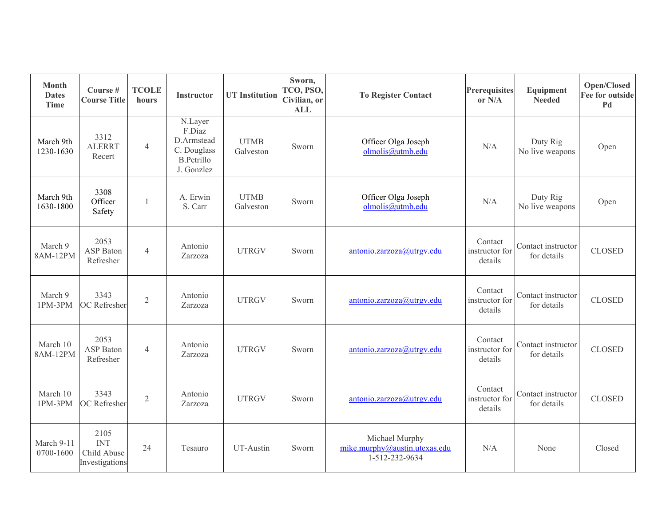| <b>Month</b><br><b>Dates</b><br><b>Time</b> | Course #<br><b>Course Title</b>                     | <b>TCOLE</b><br>hours | <b>Instructor</b>                                                                 | <b>UT</b> Institution    | Sworn,<br>TCO, PSO,<br>Civilian, or<br><b>ALL</b> | <b>To Register Contact</b>                                        | <b>Prerequisites</b><br>or N/A       | Equipment<br><b>Needed</b>        | Open/Closed<br>Fee for outside<br>Pd |
|---------------------------------------------|-----------------------------------------------------|-----------------------|-----------------------------------------------------------------------------------|--------------------------|---------------------------------------------------|-------------------------------------------------------------------|--------------------------------------|-----------------------------------|--------------------------------------|
| March 9th<br>1230-1630                      | 3312<br><b>ALERRT</b><br>Recert                     | $\overline{4}$        | N.Layer<br>F.Diaz<br>D.Armstead<br>C. Douglass<br><b>B.Petrillo</b><br>J. Gonzlez | <b>UTMB</b><br>Galveston | Sworn                                             | Officer Olga Joseph<br>olmolis@utmb.edu                           | N/A                                  | Duty Rig<br>No live weapons       | Open                                 |
| March 9th<br>1630-1800                      | 3308<br>Officer<br>Safety                           | 1                     | A. Erwin<br>S. Carr                                                               | <b>UTMB</b><br>Galveston | Sworn                                             | Officer Olga Joseph<br>olmolis@utmb.edu                           | N/A                                  | Duty Rig<br>No live weapons       | Open                                 |
| March 9<br>8AM-12PM                         | 2053<br>ASP Baton<br>Refresher                      | $\overline{4}$        | Antonio<br>Zarzoza                                                                | <b>UTRGV</b>             | Sworn                                             | antonio.zarzoza@utrgv.edu                                         | Contact<br>instructor for<br>details | Contact instructor<br>for details | <b>CLOSED</b>                        |
| March 9<br>1PM-3PM                          | 3343<br>OC Refresher                                | $\mathfrak{2}$        | Antonio<br>Zarzoza                                                                | <b>UTRGV</b>             | Sworn                                             | antonio.zarzoza@utrgv.edu                                         | Contact<br>instructor for<br>details | Contact instructor<br>for details | <b>CLOSED</b>                        |
| March 10<br>8AM-12PM                        | 2053<br>ASP Baton<br>Refresher                      | $\overline{4}$        | Antonio<br>Zarzoza                                                                | <b>UTRGV</b>             | Sworn                                             | antonio.zarzoza@utrgv.edu                                         | Contact<br>instructor for<br>details | Contact instructor<br>for details | <b>CLOSED</b>                        |
| March 10<br>1PM-3PM                         | 3343<br>OC Refresher                                | $\sqrt{2}$            | Antonio<br>Zarzoza                                                                | <b>UTRGV</b>             | Sworn                                             | antonio.zarzoza@utrgv.edu                                         | Contact<br>instructor for<br>details | Contact instructor<br>for details | <b>CLOSED</b>                        |
| March 9-11<br>0700-1600                     | 2105<br><b>INT</b><br>Child Abuse<br>Investigations | 24                    | Tesauro                                                                           | UT-Austin                | Sworn                                             | Michael Murphy<br>mike.murphy@austin.utexas.edu<br>1-512-232-9634 | N/A                                  | None                              | Closed                               |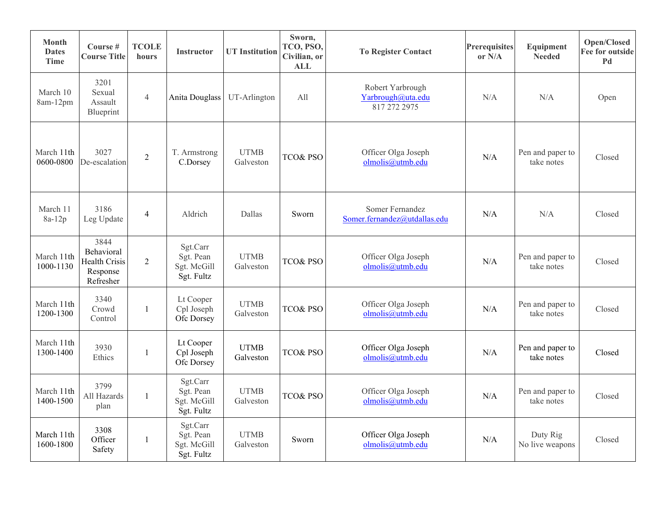| <b>Month</b><br><b>Dates</b><br>Time | Course #<br><b>Course Title</b>                                     | <b>TCOLE</b><br>hours | <b>Instructor</b>                                  | <b>UT</b> Institution    | Sworn,<br>TCO, PSO,<br>Civilian, or<br><b>ALL</b> | <b>To Register Contact</b>                            | <b>Prerequisites</b><br>or $N/A$ | Equipment<br><b>Needed</b>     | Open/Closed<br><b>Fee for outside</b><br>Pd |
|--------------------------------------|---------------------------------------------------------------------|-----------------------|----------------------------------------------------|--------------------------|---------------------------------------------------|-------------------------------------------------------|----------------------------------|--------------------------------|---------------------------------------------|
| March 10<br>8am-12pm                 | 3201<br>Sexual<br>Assault<br>Blueprint                              | $\overline{4}$        | Anita Douglass                                     | UT-Arlington             | All                                               | Robert Yarbrough<br>Yarbrough@uta.edu<br>817 272 2975 | N/A                              | N/A                            | Open                                        |
| March 11th<br>0600-0800              | 3027<br>De-escalation                                               | $\overline{2}$        | T. Armstrong<br>C.Dorsey                           | <b>UTMB</b><br>Galveston | <b>TCO&amp; PSO</b>                               | Officer Olga Joseph<br>olmolis@utmb.edu               | N/A                              | Pen and paper to<br>take notes | Closed                                      |
| March 11<br>8a-12p                   | 3186<br>Leg Update                                                  | $\overline{4}$        | Aldrich                                            | Dallas                   | Sworn                                             | Somer Fernandez<br>Somer.fernandez@utdallas.edu       | N/A                              | N/A                            | Closed                                      |
| March 11th<br>1000-1130              | 3844<br>Behavioral<br><b>Health Crisis</b><br>Response<br>Refresher | $\overline{2}$        | Sgt.Carr<br>Sgt. Pean<br>Sgt. McGill<br>Sgt. Fultz | <b>UTMB</b><br>Galveston | TCO& PSO                                          | Officer Olga Joseph<br>olmolis@utmb.edu               | N/A                              | Pen and paper to<br>take notes | Closed                                      |
| March 11th<br>1200-1300              | 3340<br>Crowd<br>Control                                            | $\mathbf{1}$          | Lt Cooper<br>Cpl Joseph<br>Ofc Dorsey              | <b>UTMB</b><br>Galveston | <b>TCO&amp; PSO</b>                               | Officer Olga Joseph<br>olmolis@utmb.edu               | N/A                              | Pen and paper to<br>take notes | Closed                                      |
| March 11th<br>1300-1400              | 3930<br>Ethics                                                      | $\mathbf{1}$          | Lt Cooper<br>Cpl Joseph<br>Ofc Dorsey              | <b>UTMB</b><br>Galveston | <b>TCO&amp; PSO</b>                               | Officer Olga Joseph<br>olmolis@utmb.edu               | N/A                              | Pen and paper to<br>take notes | Closed                                      |
| March 11th<br>1400-1500              | 3799<br>All Hazards<br>plan                                         | $\mathbf{1}$          | Sgt.Carr<br>Sgt. Pean<br>Sgt. McGill<br>Sgt. Fultz | <b>UTMB</b><br>Galveston | <b>TCO&amp; PSO</b>                               | Officer Olga Joseph<br>olmolis@utmb.edu               | N/A                              | Pen and paper to<br>take notes | Closed                                      |
| March 11th<br>1600-1800              | 3308<br>Officer<br>Safety                                           | $\mathbf{1}$          | Sgt.Carr<br>Sgt. Pean<br>Sgt. McGill<br>Sgt. Fultz | <b>UTMB</b><br>Galveston | Sworn                                             | Officer Olga Joseph<br>olmolis@utmb.edu               | N/A                              | Duty Rig<br>No live weapons    | Closed                                      |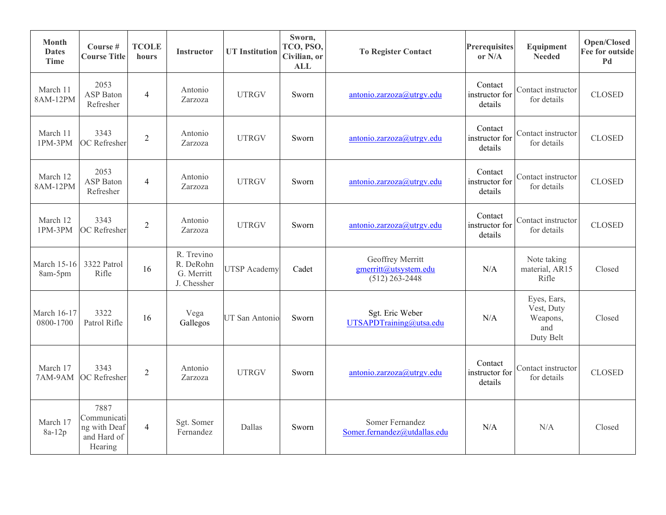| <b>Month</b><br><b>Dates</b><br><b>Time</b> | Course #<br><b>Course Title</b>                               | <b>TCOLE</b><br>hours    | <b>Instructor</b>                                    | <b>UT</b> Institution | Sworn,<br>TCO, PSO,<br>Civilian, or<br><b>ALL</b> | <b>To Register Contact</b>                                    | <b>Prerequisites</b><br>or $N/A$     | Equipment<br><b>Needed</b>                                | Open/Closed<br>Fee for outside<br>Pd |
|---------------------------------------------|---------------------------------------------------------------|--------------------------|------------------------------------------------------|-----------------------|---------------------------------------------------|---------------------------------------------------------------|--------------------------------------|-----------------------------------------------------------|--------------------------------------|
| March 11<br>8AM-12PM                        | 2053<br>ASP Baton<br>Refresher                                | $\overline{4}$           | Antonio<br>Zarzoza                                   | <b>UTRGV</b>          | Sworn                                             | antonio.zarzoza@utrgv.edu                                     | Contact<br>instructor for<br>details | Contact instructor<br>for details                         | <b>CLOSED</b>                        |
| March 11<br>1PM-3PM                         | 3343<br>OC Refresher                                          | $\overline{2}$           | Antonio<br>Zarzoza                                   | <b>UTRGV</b>          | Sworn                                             | antonio.zarzoza@utrgv.edu                                     | Contact<br>instructor for<br>details | Contact instructor<br>for details                         | <b>CLOSED</b>                        |
| March 12<br>8AM-12PM                        | 2053<br><b>ASP</b> Baton<br>Refresher                         | $\overline{\mathcal{L}}$ | Antonio<br>Zarzoza                                   | <b>UTRGV</b>          | Sworn                                             | antonio.zarzoza@utrgv.edu                                     | Contact<br>instructor for<br>details | Contact instructor<br>for details                         | <b>CLOSED</b>                        |
| March 12<br>1PM-3PM                         | 3343<br>OC Refresher                                          | $\overline{2}$           | Antonio<br>Zarzoza                                   | <b>UTRGV</b>          | Sworn                                             | antonio.zarzoza@utrgv.edu                                     | Contact<br>instructor for<br>details | Contact instructor<br>for details                         | <b>CLOSED</b>                        |
| <b>March 15-16</b><br>8am-5pm               | 3322 Patrol<br>Rifle                                          | 16                       | R. Trevino<br>R. DeRohn<br>G. Merritt<br>J. Chessher | <b>UTSP</b> Academy   | Cadet                                             | Geoffrey Merritt<br>gmerritt@utsystem.edu<br>$(512)$ 263-2448 | N/A                                  | Note taking<br>material, AR15<br>Rifle                    | Closed                               |
| March 16-17<br>0800-1700                    | 3322<br>Patrol Rifle                                          | 16                       | Vega<br>Gallegos                                     | UT San Antonio        | Sworn                                             | Sgt. Eric Weber<br>UTSAPDTraining@utsa.edu                    | N/A                                  | Eyes, Ears,<br>Vest, Duty<br>Weapons,<br>and<br>Duty Belt | Closed                               |
| March 17<br>7AM-9AM                         | 3343<br>OC Refresher                                          | $\overline{2}$           | Antonio<br>Zarzoza                                   | <b>UTRGV</b>          | Sworn                                             | antonio.zarzoza@utrgv.edu                                     | Contact<br>instructor for<br>details | Contact instructor<br>for details                         | <b>CLOSED</b>                        |
| March 17<br>8a-12p                          | 7887<br>Communicati<br>ng with Deaf<br>and Hard of<br>Hearing | $\overline{4}$           | Sgt. Somer<br>Fernandez                              | Dallas                | Sworn                                             | Somer Fernandez<br>Somer.fernandez@utdallas.edu               | N/A                                  | N/A                                                       | Closed                               |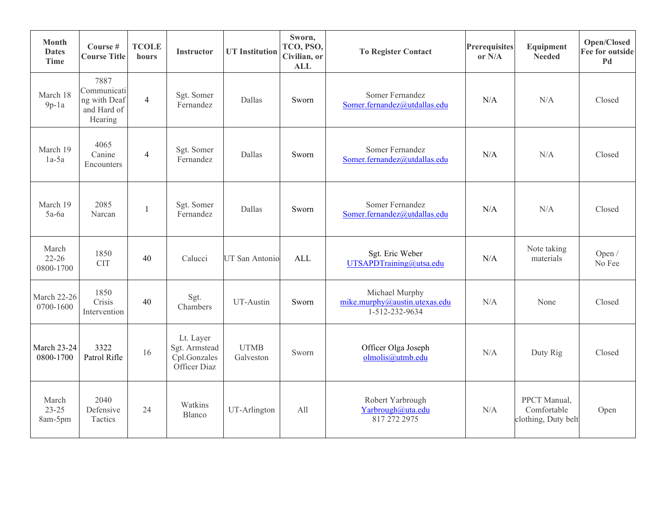| <b>Month</b><br><b>Dates</b><br><b>Time</b> | Course #<br><b>Course Title</b>                               | <b>TCOLE</b><br>hours | <b>Instructor</b>                                          | <b>UT</b> Institution    | Sworn,<br>TCO, PSO,<br>Civilian, or<br><b>ALL</b> | <b>To Register Contact</b>                                        | <b>Prerequisites</b><br>or N/A | Equipment<br><b>Needed</b>                         | Open/Closed<br><b>Fee for outside</b><br>Pd |
|---------------------------------------------|---------------------------------------------------------------|-----------------------|------------------------------------------------------------|--------------------------|---------------------------------------------------|-------------------------------------------------------------------|--------------------------------|----------------------------------------------------|---------------------------------------------|
| March 18<br>$9p-1a$                         | 7887<br>Communicati<br>ng with Deaf<br>and Hard of<br>Hearing | $\overline{4}$        | Sgt. Somer<br>Fernandez                                    | Dallas                   | Sworn                                             | Somer Fernandez<br>Somer.fernandez@utdallas.edu                   | N/A                            | N/A                                                | Closed                                      |
| March 19<br>$1a-5a$                         | 4065<br>Canine<br>Encounters                                  | $\overline{4}$        | Sgt. Somer<br>Fernandez                                    | Dallas                   | Sworn                                             | Somer Fernandez<br>Somer.fernandez@utdallas.edu                   | N/A                            | N/A                                                | Closed                                      |
| March 19<br>$5a-6a$                         | 2085<br>Narcan                                                | 1                     | Sgt. Somer<br>Fernandez                                    | Dallas                   | Sworn                                             | Somer Fernandez<br>Somer.fernandez@utdallas.edu                   | N/A                            | N/A                                                | Closed                                      |
| March<br>$22 - 26$<br>0800-1700             | 1850<br><b>CIT</b>                                            | 40                    | Calucci                                                    | <b>UT San Antonio</b>    | ALL                                               | Sgt. Eric Weber<br>UTSAPDTraining@utsa.edu                        | N/A                            | Note taking<br>materials                           | Open $/$<br>No Fee                          |
| March 22-26<br>0700-1600                    | 1850<br>Crisis<br>Intervention                                | 40                    | Sgt.<br>Chambers                                           | UT-Austin                | Sworn                                             | Michael Murphy<br>mike.murphy@austin.utexas.edu<br>1-512-232-9634 | N/A                            | None                                               | Closed                                      |
| <b>March 23-24</b><br>0800-1700             | 3322<br>Patrol Rifle                                          | 16                    | Lt. Layer<br>Sgt. Armstead<br>Cpl.Gonzales<br>Officer Diaz | <b>UTMB</b><br>Galveston | Sworn                                             | Officer Olga Joseph<br>olmolis@utmb.edu                           | N/A                            | Duty Rig                                           | Closed                                      |
| March<br>$23 - 25$<br>8am-5pm               | 2040<br>Defensive<br>Tactics                                  | 24                    | Watkins<br><b>Blanco</b>                                   | UT-Arlington             | All                                               | Robert Yarbrough<br>Yarbrough@uta.edu<br>817 272 2975             | N/A                            | PPCT Manual,<br>Comfortable<br>clothing, Duty belt | Open                                        |